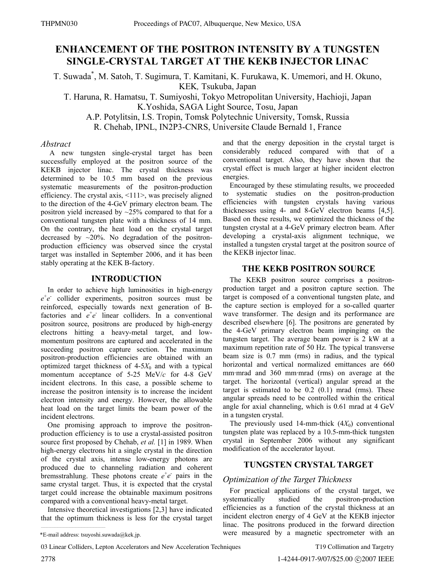# **ENHANCEMENT OF THE POSITRON INTENSITY BY A TUNGSTEN SINGLE-CRYSTAL TARGET AT THE KEKB INJECTOR LINAC**

T. Suwada\* , M. Satoh, T. Sugimura, T. Kamitani, K. Furukawa, K. Umemori, and H. Okuno, KEK*,* Tsukuba, Japan

T. Haruna, R. Hamatsu, T. Sumiyoshi, Tokyo Metropolitan University, Hachioji, Japan K.Yoshida, SAGA Light Source, Tosu, Japan

A.P. Potylitsin, I.S. Tropin, Tomsk Polytechnic University, Tomsk, Russia R. Chehab, IPNL, IN2P3-CNRS, Universite Claude Bernald 1, France

### *Abstract*

 A new tungsten single-crystal target has been successfully employed at the positron source of the KEKB injector linac. The crystal thickness was determined to be 10.5 mm based on the previous systematic measurements of the positron-production efficiency. The crystal axis, <111>, was precisely aligned to the direction of the 4-GeV primary electron beam. The positron yield increased by  $\sim$ 25% compared to that for a conventional tungsten plate with a thickness of 14 mm. On the contrary, the heat load on the crystal target decreased by  $\sim$ 20%. No degradation of the positronproduction efficiency was observed since the crystal target was installed in September 2006, and it has been stably operating at the KEK B-factory.

## **INTRODUCTION**

In order to achieve high luminosities in high-energy  $e^+e^-$  collider experiments, positron sources must be reinforced, especially towards next generation of Bfactories and  $e^+e^-$  linear colliders. In a conventional positron source, positrons are produced by high-energy electrons hitting a heavy-metal target, and lowmomentum positrons are captured and accelerated in the succeeding positron capture section. The maximum positron-production efficiencies are obtained with an optimized target thickness of  $4-5X_0$  and with a typical momentum acceptance of 5-25 MeV/*c* for 4-8 GeV incident electrons. In this case, a possible scheme to increase the positron intensity is to increase the incident electron intensity and energy. However, the allowable heat load on the target limits the beam power of the incident electrons.

One promising approach to improve the positronproduction efficiency is to use a crystal-assisted positron source first proposed by Chehab, *et al.* [1] in 1989. When high-energy electrons hit a single crystal in the direction of the crystal axis, intense low-energy photons are produced due to channeling radiation and coherent bremsstrahlung. These photons create  $e^+e^-$  pairs in the same crystal target. Thus, it is expected that the crystal target could increase the obtainable maximum positrons compared with a conventional heavy-metal target.

Intensive theoretical investigations [2,3] have indicated that the optimum thickness is less for the crystal target and that the energy deposition in the crystal target is considerably reduced compared with that of a conventional target. Also, they have shown that the crystal effect is much larger at higher incident electron energies.

Encouraged by these stimulating results, we proceeded to systematic studies on the positron-production efficiencies with tungsten crystals having various thicknesses using 4- and 8-GeV electron beams [4,5]. Based on these results, we optimized the thickness of the tungsten crystal at a 4-GeV primary electron beam. After developing a crystal-axis alignment technique, we installed a tungsten crystal target at the positron source of the KEKB injector linac.

## **THE KEKB POSITRON SOURCE**

The KEKB positron source comprises a positronproduction target and a positron capture section. The target is composed of a conventional tungsten plate, and the capture section is employed for a so-called quarter wave transformer. The design and its performance are described elsewhere [6]. The positrons are generated by the 4-GeV primary electron beam impinging on the tungsten target. The average beam power is 2 kW at a maximum repetition rate of 50 Hz. The typical transverse beam size is 0.7 mm (rms) in radius, and the typical horizontal and vertical normalized emittances are 660 mm*·*mrad and 360 mm*·*mrad (rms) on average at the target. The horizontal (vertical) angular spread at the target is estimated to be  $0.2$   $(0.1)$  mrad (rms). These angular spreads need to be controlled within the critical angle for axial channeling, which is 0.61 mrad at 4 GeV in a tungsten crystal.

The previously used 14-mm-thick  $(4X_0)$  conventional tungsten plate was replaced by a 10.5-mm-thick tungsten crystal in September 2006 without any significant modification of the accelerator layout.

# **TUNGSTEN CRYSTAL TARGET**

## *Optimization of the Target Thickness*

For practical applications of the crystal target, we systematically studied the positron-production efficiencies as a function of the crystal thickness at an incident electron energy of 4 GeV at the KEKB injector linac. The positrons produced in the forward direction were measured by a magnetic spectrometer with an

\_\_\_\_\_\_\_\_\_\_\_\_\_\_\_\_\_\_\_\_\_\_\_\_\_\_\_\_\_\_\_\_\_\_\_\_\_\_\_\_\_\_\_

<sup>\*</sup>E-mail address: tsuyoshi.suwada@kek.jp.

<sup>03</sup> Linear Colliders, Lepton Accelerators and New Acceleration Techniques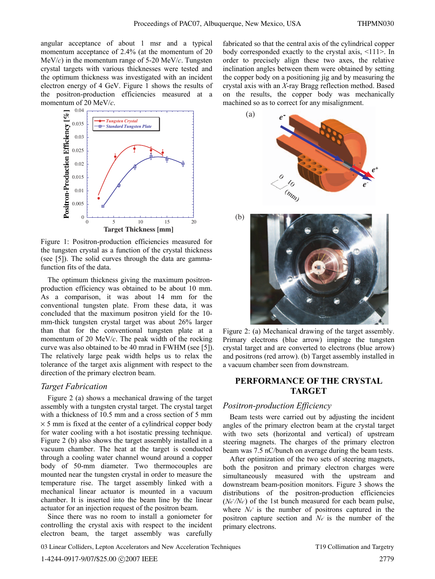angular acceptance of about 1 msr and a typical momentum acceptance of 2.4% (at the momentum of 20 MeV/*c*) in the momentum range of 5-20 MeV/*c*. Tungsten crystal targets with various thicknesses were tested and the optimum thickness was investigated with an incident electron energy of 4 GeV. Figure 1 shows the results of the positron-production efficiencies measured at a momentum of 20 MeV/*c*.



Figure 1: Positron-production efficiencies measured for the tungsten crystal as a function of the crystal thickness (see [5]). The solid curves through the data are gammafunction fits of the data.

The optimum thickness giving the maximum positronproduction efficiency was obtained to be about 10 mm. As a comparison, it was about 14 mm for the conventional tungsten plate. From these data, it was concluded that the maximum positron yield for the 10 mm-thick tungsten crystal target was about 26% larger than that for the conventional tungsten plate at a momentum of 20 MeV/*c*. The peak width of the rocking curve was also obtained to be 40 mrad in FWHM (see [5]). The relatively large peak width helps us to relax the tolerance of the target axis alignment with respect to the direction of the primary electron beam.

## *Target Fabrication*

Figure 2 (a) shows a mechanical drawing of the target assembly with a tungsten crystal target. The crystal target with a thickness of 10.5 mm and a cross section of 5 mm  $\times$  5 mm is fixed at the center of a cylindrical copper body for water cooling with a hot isostatic pressing technique. Figure 2 (b) also shows the target assembly installed in a vacuum chamber. The heat at the target is conducted through a cooling water channel wound around a copper body of 50-mm diameter. Two thermocouples are mounted near the tungsten crystal in order to measure the temperature rise. The target assembly linked with a mechanical linear actuator is mounted in a vacuum chamber. It is inserted into the beam line by the linear actuator for an injection request of the positron beam.

Since there was no room to install a goniometer for controlling the crystal axis with respect to the incident electron beam, the target assembly was carefully

fabricated so that the central axis of the cylindrical copper body corresponded exactly to the crystal axis, <111>. In order to precisely align these two axes, the relative inclination angles between them were obtained by setting the copper body on a positioning jig and by measuring the crystal axis with an *X*-ray Bragg reflection method. Based on the results, the copper body was mechanically machined so as to correct for any misalignment.





Figure 2: (a) Mechanical drawing of the target assembly. Primary electrons (blue arrow) impinge the tungsten crystal target and are converted to electrons (blue arrow) and positrons (red arrow). (b) Target assembly installed in a vacuum chamber seen from downstream.

## **PERFORMANCE OF THE CRYSTAL TARGET**

#### *Positron-production Efficiency*

Beam tests were carried out by adjusting the incident angles of the primary electron beam at the crystal target with two sets (horizontal and vertical) of upstream steering magnets. The charges of the primary electron beam was 7.5 nC/bunch on average during the beam tests.

After optimization of the two sets of steering magnets, both the positron and primary electron charges were simultaneously measured with the upstream and downstream beam-position monitors. Figure 3 shows the distributions of the positron-production efficiencies  $(Ne^{\dagger}/Ne^{\dagger})$  of the 1st bunch measured for each beam pulse, where  $N_e$ <sup>+</sup> is the number of positrons captured in the positron capture section and N<sub>e</sub> is the number of the primary electrons.

03 Linear Colliders, Lepton Accelerators and New Acceleration Techniques